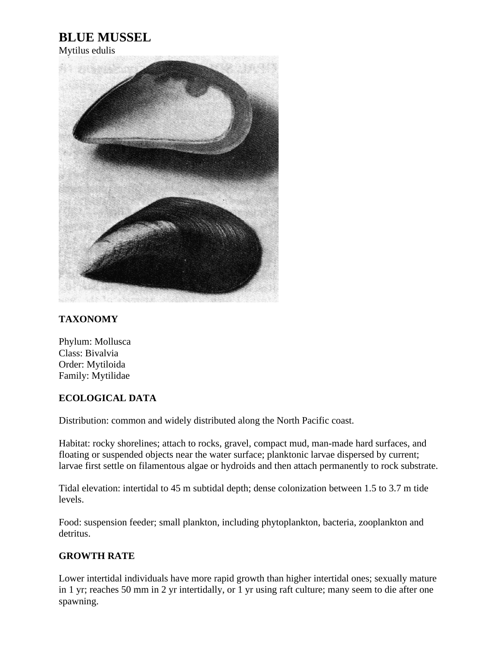## **BLUE MUSSEL**

Mytilus edulis



## **TAXONOMY**

Phylum: Mollusca Class: Bivalvia Order: Mytiloida Family: Mytilidae

## **ECOLOGICAL DATA**

Distribution: common and widely distributed along the North Pacific coast.

Habitat: rocky shorelines; attach to rocks, gravel, compact mud, man-made hard surfaces, and floating or suspended objects near the water surface; planktonic larvae dispersed by current; larvae first settle on filamentous algae or hydroids and then attach permanently to rock substrate.

Tidal elevation: intertidal to 45 m subtidal depth; dense colonization between 1.5 to 3.7 m tide levels.

Food: suspension feeder; small plankton, including phytoplankton, bacteria, zooplankton and detritus.

## **GROWTH RATE**

Lower intertidal individuals have more rapid growth than higher intertidal ones; sexually mature in 1 yr; reaches 50 mm in 2 yr intertidally, or 1 yr using raft culture; many seem to die after one spawning.